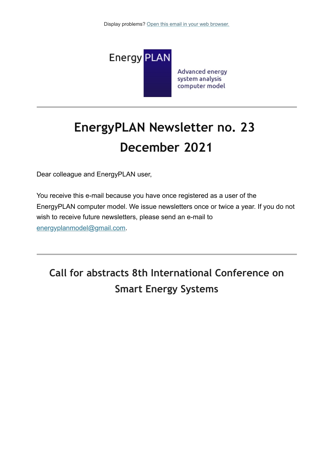

# **EnergyPLAN Newsletter no. 23 December 2021**

Dear colleague and EnergyPLAN user,

You receive this e-mail because you have once registered as a user of the EnergyPLAN computer model. We issue newsletters once or twice a year. If you do not wish to receive future newsletters, please send an e-mail to [energyplanmodel@gmail.com](mailto:energyplanmodel@gmail.com).

## **Call for abstracts 8th International Conference on Smart Energy Systems**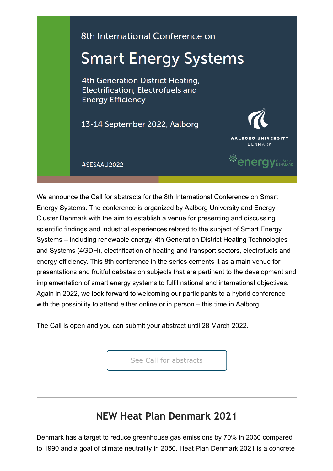

We announce the Call for abstracts for the 8th International Conference on Smart Energy Systems. The conference is organized by Aalborg University and Energy Cluster Denmark with the aim to establish a venue for presenting and discussing scientific findings and industrial experiences related to the subject of Smart Energy Systems – including renewable energy, 4th Generation District Heating Technologies and Systems (4GDH), electrification of heating and transport sectors, electrofuels and energy efficiency. This 8th conference in the series cements it as a main venue for presentations and fruitful debates on subjects that are pertinent to the development and implementation of smart energy systems to fulfil national and international objectives. Again in 2022, we look forward to welcoming our participants to a hybrid conference with the possibility to attend either online or in person – this time in Aalborg.

The Call is open and you can submit your abstract until 28 March 2022.

[See Call for abstracts](https://smartenergysystems.eu/submityourabstract/)

### **NEW Heat Plan Denmark 2021**

Denmark has a target to reduce greenhouse gas emissions by 70% in 2030 compared to 1990 and a goal of climate neutrality in 2050. Heat Plan Denmark 2021 is a concrete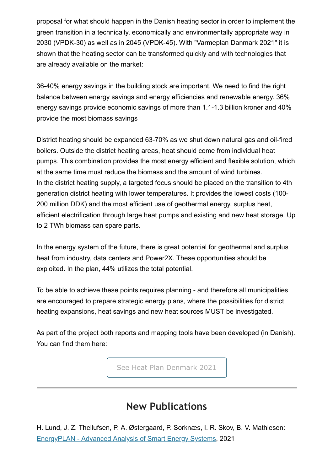proposal for what should happen in the Danish heating sector in order to implement the green transition in a technically, economically and environmentally appropriate way in 2030 (VPDK-30) as well as in 2045 (VPDK-45). With "Varmeplan Danmark 2021" it is shown that the heating sector can be transformed quickly and with technologies that are already available on the market:

36-40% energy savings in the building stock are important. We need to find the right balance between energy savings and energy efficiencies and renewable energy. 36% energy savings provide economic savings of more than 1.1-1.3 billion kroner and 40% provide the most biomass savings

District heating should be expanded 63-70% as we shut down natural gas and oil-fired boilers. Outside the district heating areas, heat should come from individual heat pumps. This combination provides the most energy efficient and flexible solution, which at the same time must reduce the biomass and the amount of wind turbines. In the district heating supply, a targeted focus should be placed on the transition to 4th generation district heating with lower temperatures. It provides the lowest costs (100- 200 million DDK) and the most efficient use of geothermal energy, surplus heat, efficient electrification through large heat pumps and existing and new heat storage. Up to 2 TWh biomass can spare parts.

In the energy system of the future, there is great potential for geothermal and surplus heat from industry, data centers and Power2X. These opportunities should be exploited. In the plan, 44% utilizes the total potential.

To be able to achieve these points requires planning - and therefore all municipalities are encouraged to prepare strategic energy plans, where the possibilities for district heating expansions, heat savings and new heat sources MUST be investigated.

As part of the project both reports and mapping tools have been developed (in Danish). You can find them here:

[See Heat Plan Denmark 2021](https://www.energyplan.eu/www.energyplan.eu/varmeplandk)

#### **New Publications**

H. Lund, J. Z. Thellufsen, P. A. Østergaard, P. Sorknæs, I. R. Skov, B. V. Mathiesen: [EnergyPLAN - Advanced Analysis of Smart Energy Systems](https://vbn.aau.dk/da/publications/energyplan-advanced-analysis-of-smart-energy-systems), 2021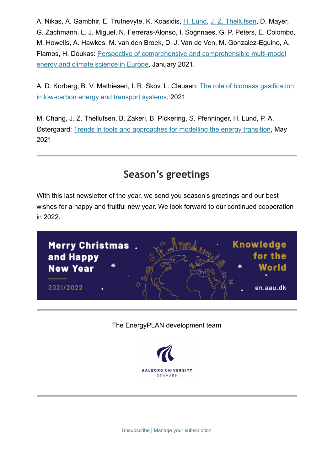A. Nikas, A. Gambhir, E. Trutnevyte, K. Koasidis, [H. Lund,](https://vbn.aau.dk/da/persons/100340) [J. Z. Thellufsen,](https://vbn.aau.dk/da/persons/120628) D. Mayer, G. Zachmann, L. J. Miguel, N. Ferreras-Alonso, I. Sognnaes, G. P. Peters, E. Colombo, M. Howells, A. Hawkes, M. van den Broek, D. J. Van de Ven, M. Gonzalez-Eguino, A. [Flamos, H. Doukas: Perspective of comprehensive and comprehensible multi-model](https://vbn.aau.dk/da/publications/perspective-of-comprehensive-and-comprehensible-multi-model-energ) energy and climate science in Europe, January 2021.

[A. D. Korberg, B. V. Mathiesen, I. R. Skov, L. Clausen: The role of biomass gasification](https://vbn.aau.dk/da/publications/the-role-of-biomass-gasification-in-low-carbon-energy-and-transpo) in low-carbon energy and transport systems, 2021

M. Chang, J. Z. Thellufsen, B. Zakeri, B. Pickering, S. Pfenninger, H. Lund, P. A. Østergaard: [Trends in tools and approaches for modelling the energy transition](https://vbn.aau.dk/da/publications/trends-in-tools-and-approaches-for-modelling-the-energy-transitio), May 2021

#### **Season's greetings**

With this last newsletter of the year, we send you season's greetings and our best wishes for a happy and fruitful new year. We look forward to our continued cooperation in 2022.



The EnergyPLAN development team



[Unsubscribe](https://www.energyplan.eu/?mailpoet_page=subscriptions&mailpoet_router&endpoint=subscription&action=confirm_unsubscribe&data=eyJwcmV2aWV3IjoxfQ) | [Manage your subscription](https://www.energyplan.eu/?mailpoet_page=subscriptions&mailpoet_router&endpoint=subscription&action=manage&data=eyJwcmV2aWV3IjoxfQ)